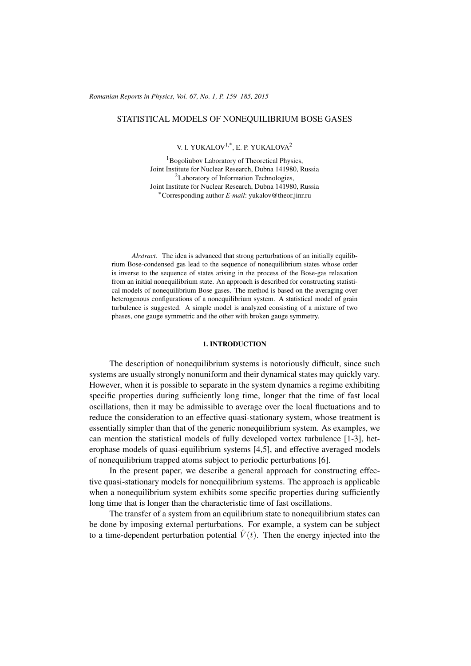## STATISTICAL MODELS OF NONEQUILIBRIUM BOSE GASES

V. I. YUKALOV<sup>1,\*</sup>, E. P. YUKALOVA<sup>2</sup>

<sup>1</sup>Bogoliubov Laboratory of Theoretical Physics, Joint Institute for Nuclear Research, Dubna 141980, Russia <sup>2</sup>Laboratory of Information Technologies, Joint Institute for Nuclear Research, Dubna 141980, Russia <sup>∗</sup>Corresponding author *E-mail*: yukalov@theor.jinr.ru

*Abstract.* The idea is advanced that strong perturbations of an initially equilibrium Bose-condensed gas lead to the sequence of nonequilibrium states whose order is inverse to the sequence of states arising in the process of the Bose-gas relaxation from an initial nonequilibrium state. An approach is described for constructing statistical models of nonequilibrium Bose gases. The method is based on the averaging over heterogenous configurations of a nonequilibrium system. A statistical model of grain turbulence is suggested. A simple model is analyzed consisting of a mixture of two phases, one gauge symmetric and the other with broken gauge symmetry.

#### 1. INTRODUCTION

The description of nonequilibrium systems is notoriously difficult, since such systems are usually strongly nonuniform and their dynamical states may quickly vary. However, when it is possible to separate in the system dynamics a regime exhibiting specific properties during sufficiently long time, longer that the time of fast local oscillations, then it may be admissible to average over the local fluctuations and to reduce the consideration to an effective quasi-stationary system, whose treatment is essentially simpler than that of the generic nonequilibrium system. As examples, we can mention the statistical models of fully developed vortex turbulence [1-3], heterophase models of quasi-equilibrium systems [4,5], and effective averaged models of nonequilibrium trapped atoms subject to periodic perturbations [6].

In the present paper, we describe a general approach for constructing effective quasi-stationary models for nonequilibrium systems. The approach is applicable when a nonequilibrium system exhibits some specific properties during sufficiently long time that is longer than the characteristic time of fast oscillations.

The transfer of a system from an equilibrium state to nonequilibrium states can be done by imposing external perturbations. For example, a system can be subject to a time-dependent perturbation potential  $\hat{V}(t)$ . Then the energy injected into the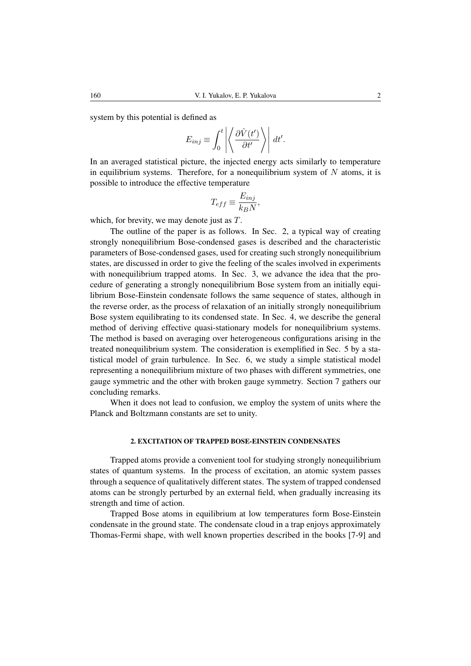system by this potential is defined as

$$
E_{inj} \equiv \int_0^t \left| \left\langle \frac{\partial \hat{V}(t')}{\partial t'} \right\rangle \right| dt'.
$$

In an averaged statistical picture, the injected energy acts similarly to temperature in equilibrium systems. Therefore, for a nonequilibrium system of  $N$  atoms, it is possible to introduce the effective temperature

$$
T_{eff} \equiv \frac{E_{inj}}{k_B N},
$$

which, for brevity, we may denote just as T.

The outline of the paper is as follows. In Sec. 2, a typical way of creating strongly nonequilibrium Bose-condensed gases is described and the characteristic parameters of Bose-condensed gases, used for creating such strongly nonequilibrium states, are discussed in order to give the feeling of the scales involved in experiments with nonequilibrium trapped atoms. In Sec. 3, we advance the idea that the procedure of generating a strongly nonequilibrium Bose system from an initially equilibrium Bose-Einstein condensate follows the same sequence of states, although in the reverse order, as the process of relaxation of an initially strongly nonequilibrium Bose system equilibrating to its condensed state. In Sec. 4, we describe the general method of deriving effective quasi-stationary models for nonequilibrium systems. The method is based on averaging over heterogeneous configurations arising in the treated nonequilibrium system. The consideration is exemplified in Sec. 5 by a statistical model of grain turbulence. In Sec. 6, we study a simple statistical model representing a nonequilibrium mixture of two phases with different symmetries, one gauge symmetric and the other with broken gauge symmetry. Section 7 gathers our concluding remarks.

When it does not lead to confusion, we employ the system of units where the Planck and Boltzmann constants are set to unity.

# 2. EXCITATION OF TRAPPED BOSE-EINSTEIN CONDENSATES

Trapped atoms provide a convenient tool for studying strongly nonequilibrium states of quantum systems. In the process of excitation, an atomic system passes through a sequence of qualitatively different states. The system of trapped condensed atoms can be strongly perturbed by an external field, when gradually increasing its strength and time of action.

Trapped Bose atoms in equilibrium at low temperatures form Bose-Einstein condensate in the ground state. The condensate cloud in a trap enjoys approximately Thomas-Fermi shape, with well known properties described in the books [7-9] and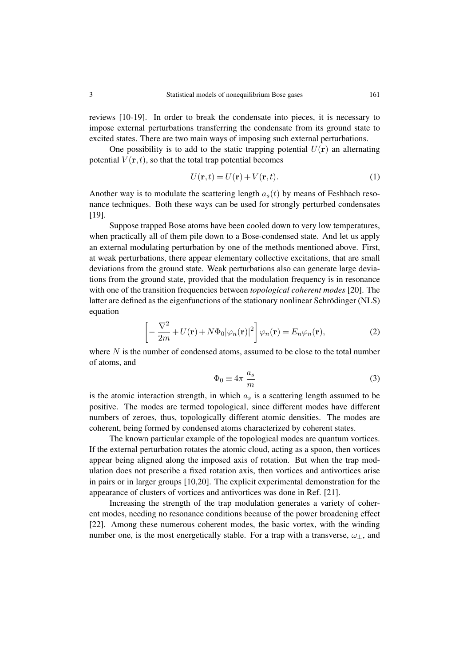reviews [10-19]. In order to break the condensate into pieces, it is necessary to impose external perturbations transferring the condensate from its ground state to excited states. There are two main ways of imposing such external perturbations.

One possibility is to add to the static trapping potential  $U(\mathbf{r})$  an alternating potential  $V(\mathbf{r}, t)$ , so that the total trap potential becomes

$$
U(\mathbf{r},t) = U(\mathbf{r}) + V(\mathbf{r},t). \tag{1}
$$

Another way is to modulate the scattering length  $a_s(t)$  by means of Feshbach resonance techniques. Both these ways can be used for strongly perturbed condensates [19].

Suppose trapped Bose atoms have been cooled down to very low temperatures, when practically all of them pile down to a Bose-condensed state. And let us apply an external modulating perturbation by one of the methods mentioned above. First, at weak perturbations, there appear elementary collective excitations, that are small deviations from the ground state. Weak perturbations also can generate large deviations from the ground state, provided that the modulation frequency is in resonance with one of the transition frequencies between *topological coherent modes* [20]. The latter are defined as the eigenfunctions of the stationary nonlinear Schrödinger (NLS) equation

$$
\left[ -\frac{\nabla^2}{2m} + U(\mathbf{r}) + N\Phi_0 |\varphi_n(\mathbf{r})|^2 \right] \varphi_n(\mathbf{r}) = E_n \varphi_n(\mathbf{r}),
$$
\n(2)

where  $N$  is the number of condensed atoms, assumed to be close to the total number of atoms, and

$$
\Phi_0 \equiv 4\pi \, \frac{a_s}{m} \tag{3}
$$

is the atomic interaction strength, in which  $a<sub>s</sub>$  is a scattering length assumed to be positive. The modes are termed topological, since different modes have different numbers of zeroes, thus, topologically different atomic densities. The modes are coherent, being formed by condensed atoms characterized by coherent states.

The known particular example of the topological modes are quantum vortices. If the external perturbation rotates the atomic cloud, acting as a spoon, then vortices appear being aligned along the imposed axis of rotation. But when the trap modulation does not prescribe a fixed rotation axis, then vortices and antivortices arise in pairs or in larger groups [10,20]. The explicit experimental demonstration for the appearance of clusters of vortices and antivortices was done in Ref. [21].

Increasing the strength of the trap modulation generates a variety of coherent modes, needing no resonance conditions because of the power broadening effect [22]. Among these numerous coherent modes, the basic vortex, with the winding number one, is the most energetically stable. For a trap with a transverse,  $\omega_{\perp}$ , and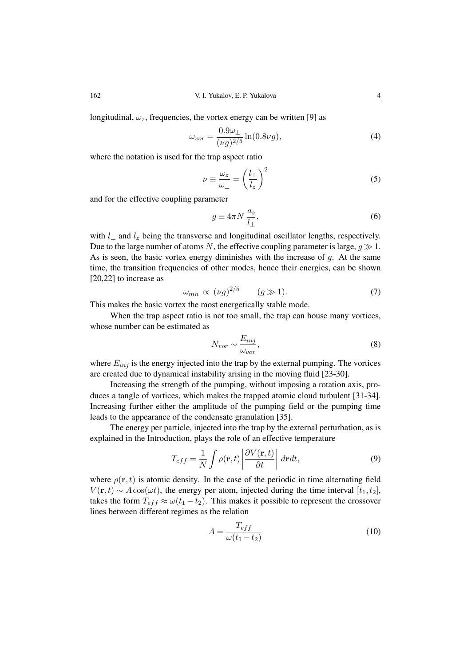longitudinal,  $\omega_z$ , frequencies, the vortex energy can be written [9] as

$$
\omega_{vor} = \frac{0.9\omega_{\perp}}{(\nu g)^{2/5}} \ln(0.8\nu g),\tag{4}
$$

where the notation is used for the trap aspect ratio

$$
\nu \equiv \frac{\omega_z}{\omega_\perp} = \left(\frac{l_\perp}{l_z}\right)^2 \tag{5}
$$

and for the effective coupling parameter

$$
g \equiv 4\pi N \frac{a_s}{l_{\perp}},\tag{6}
$$

with  $l_{\perp}$  and  $l_z$  being the transverse and longitudinal oscillator lengths, respectively. Due to the large number of atoms N, the effective coupling parameter is large,  $q \gg 1$ . As is seen, the basic vortex energy diminishes with the increase of  $q$ . At the same time, the transition frequencies of other modes, hence their energies, can be shown [20,22] to increase as

$$
\omega_{mn} \propto (\nu g)^{2/5} \qquad (g \gg 1). \tag{7}
$$

This makes the basic vortex the most energetically stable mode.

When the trap aspect ratio is not too small, the trap can house many vortices, whose number can be estimated as

$$
N_{vor} \sim \frac{E_{inj}}{\omega_{vor}},\tag{8}
$$

where  $E_{inj}$  is the energy injected into the trap by the external pumping. The vortices are created due to dynamical instability arising in the moving fluid [23-30].

Increasing the strength of the pumping, without imposing a rotation axis, produces a tangle of vortices, which makes the trapped atomic cloud turbulent [31-34]. Increasing further either the amplitude of the pumping field or the pumping time leads to the appearance of the condensate granulation [35].

The energy per particle, injected into the trap by the external perturbation, as is explained in the Introduction, plays the role of an effective temperature

$$
T_{eff} = \frac{1}{N} \int \rho(\mathbf{r}, t) \left| \frac{\partial V(\mathbf{r}, t)}{\partial t} \right| \, d\mathbf{r} dt,\tag{9}
$$

where  $\rho(\mathbf{r},t)$  is atomic density. In the case of the periodic in time alternating field  $V(\mathbf{r}, t) \sim A \cos(\omega t)$ , the energy per atom, injected during the time interval [t<sub>1</sub>, t<sub>2</sub>], takes the form  $T_{eff} \approx \omega(t_1 - t_2)$ . This makes it possible to represent the crossover lines between different regimes as the relation

$$
A = \frac{T_{eff}}{\omega(t_1 - t_2)}\tag{10}
$$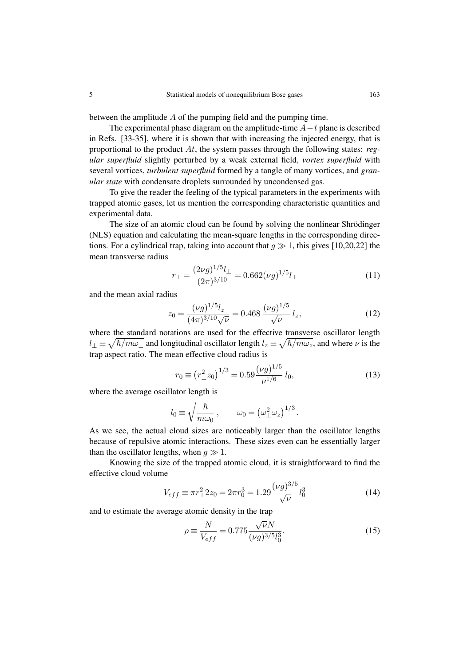between the amplitude A of the pumping field and the pumping time.

The experimental phase diagram on the amplitude-time  $A-t$  plane is described in Refs. [33-35], where it is shown that with increasing the injected energy, that is proportional to the product At, the system passes through the following states: *regular superfluid* slightly perturbed by a weak external field, *vortex superfluid* with several vortices, *turbulent superfluid* formed by a tangle of many vortices, and *granular state* with condensate droplets surrounded by uncondensed gas.

To give the reader the feeling of the typical parameters in the experiments with trapped atomic gases, let us mention the corresponding characteristic quantities and experimental data.

The size of an atomic cloud can be found by solving the nonlinear Shrödinger (NLS) equation and calculating the mean-square lengths in the corresponding directions. For a cylindrical trap, taking into account that  $q \gg 1$ , this gives [10,20,22] the mean transverse radius

$$
r_{\perp} = \frac{(2\nu g)^{1/5} l_{\perp}}{(2\pi)^{3/10}} = 0.662(\nu g)^{1/5} l_{\perp}
$$
\n(11)

and the mean axial radius

$$
z_0 = \frac{(\nu g)^{1/5} l_z}{(4\pi)^{3/10} \sqrt{\nu}} = 0.468 \frac{(\nu g)^{1/5}}{\sqrt{\nu}} l_z,
$$
 (12)

where the standard notations are used for the effective transverse oscillator length  $l_\perp \equiv \sqrt{\hbar/m\omega_\perp}$  and longitudinal oscillator length  $l_z \equiv \sqrt{\hbar/m\omega_z}$ , and where  $\nu$  is the trap aspect ratio. The mean effective cloud radius is

$$
r_0 \equiv \left(r_\perp^2 z_0\right)^{1/3} = 0.59 \frac{(\nu g)^{1/5}}{\nu^{1/6}} l_0,
$$
\n(13)

where the average oscillator length is

$$
l_0 \equiv \sqrt{\frac{\hbar}{m\omega_0}}\,, \qquad \omega_0 = \left(\omega_\perp^2 \omega_z\right)^{1/3}.
$$

As we see, the actual cloud sizes are noticeably larger than the oscillator lengths because of repulsive atomic interactions. These sizes even can be essentially larger than the oscillator lengths, when  $q \gg 1$ .

Knowing the size of the trapped atomic cloud, it is straightforward to find the effective cloud volume

$$
V_{eff} \equiv \pi r_{\perp}^2 2z_0 = 2\pi r_0^3 = 1.29 \frac{(\nu g)^{3/5}}{\sqrt{\nu}} l_0^3 \tag{14}
$$

and to estimate the average atomic density in the trap

$$
\rho \equiv \frac{N}{V_{eff}} = 0.775 \frac{\sqrt{\nu} N}{(\nu g)^{3/5} l_0^3}.
$$
\n(15)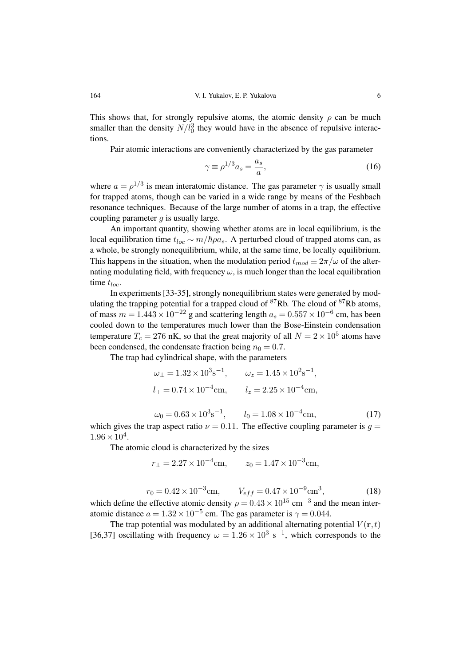This shows that, for strongly repulsive atoms, the atomic density  $\rho$  can be much smaller than the density  $N/l_0^3$  they would have in the absence of repulsive interactions.

Pair atomic interactions are conveniently characterized by the gas parameter

$$
\gamma \equiv \rho^{1/3} a_s = \frac{a_s}{a},\tag{16}
$$

where  $a = \rho^{1/3}$  is mean interatomic distance. The gas parameter  $\gamma$  is usually small for trapped atoms, though can be varied in a wide range by means of the Feshbach resonance techniques. Because of the large number of atoms in a trap, the effective coupling parameter  $q$  is usually large.

An important quantity, showing whether atoms are in local equilibrium, is the local equilibration time  $t_{loc} \sim m/\hbar \rho a_s$ . A perturbed cloud of trapped atoms can, as a whole, be strongly nonequilibrium, while, at the same time, be locally equilibrium. This happens in the situation, when the modulation period  $t_{mod} \equiv 2\pi/\omega$  of the alternating modulating field, with frequency  $\omega$ , is much longer than the local equilibration time  $t_{loc}$ .

In experiments [33-35], strongly nonequilibrium states were generated by modulating the trapping potential for a trapped cloud of  ${}^{87}Rb$ . The cloud of  ${}^{87}Rb$  atoms, of mass  $m = 1.443 \times 10^{-22}$  g and scattering length  $a_s = 0.557 \times 10^{-6}$  cm, has been cooled down to the temperatures much lower than the Bose-Einstein condensation temperature  $T_c = 276$  nK, so that the great majority of all  $N = 2 \times 10^5$  atoms have been condensed, the condensate fraction being  $n_0 = 0.7$ .

The trap had cylindrical shape, with the parameters

$$
\omega_{\perp} = 1.32 \times 10^{3} \text{s}^{-1},
$$
\n $\omega_{z} = 1.45 \times 10^{2} \text{s}^{-1},$ \n  
\n $l_{\perp} = 0.74 \times 10^{-4} \text{cm},$ \n $l_{z} = 2.25 \times 10^{-4} \text{cm},$ \n  
\n $\omega_{0} = 0.63 \times 10^{3} \text{s}^{-1},$ \n $l_{0} = 1.08 \times 10^{-4} \text{cm},$ \n(17)

which gives the trap aspect ratio  $\nu = 0.11$ . The effective coupling parameter is  $q =$  $1.96 \times 10^4$ .

The atomic cloud is characterized by the sizes

$$
r_{\perp} = 2.27 \times 10^{-4} \text{cm}, \qquad z_0 = 1.47 \times 10^{-3} \text{cm},
$$

$$
r_0 = 0.42 \times 10^{-3} \text{cm}, \qquad V_{eff} = 0.47 \times 10^{-9} \text{cm}^3, \tag{18}
$$

which define the effective atomic density  $\rho = 0.43 \times 10^{15}$  cm<sup>-3</sup> and the mean interatomic distance  $a = 1.32 \times 10^{-5}$  cm. The gas parameter is  $\gamma = 0.044$ .

The trap potential was modulated by an additional alternating potential  $V(\mathbf{r}, t)$ [36,37] oscillating with frequency  $\omega = 1.26 \times 10^3 \text{ s}^{-1}$ , which corresponds to the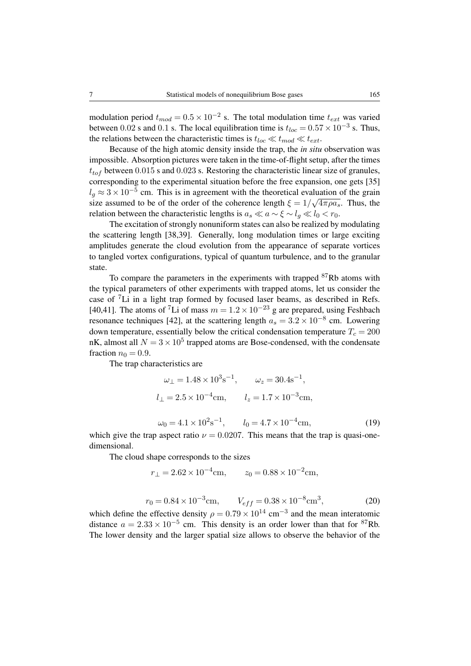modulation period  $t_{mod} = 0.5 \times 10^{-2}$  s. The total modulation time  $t_{ext}$  was varied between 0.02 s and 0.1 s. The local equilibration time is  $t_{loc} = 0.57 \times 10^{-3}$  s. Thus, the relations between the characteristic times is  $t_{loc} \ll t_{mod} \ll t_{ext}$ .

Because of the high atomic density inside the trap, the *in situ* observation was impossible. Absorption pictures were taken in the time-of-flight setup, after the times  $t_{tot}$  between 0.015 s and 0.023 s. Restoring the characteristic linear size of granules, corresponding to the experimental situation before the free expansion, one gets [35]  $l_g \approx 3 \times 10^{-5}$  cm. This is in agreement with the theoretical evaluation of the grain size assumed to be of the order of the coherence length  $\xi = 1/\sqrt{4\pi \rho a_s}$ . Thus, the relation between the characteristic lengths is  $a_s \ll a \sim \xi \sim l_g \ll l_0 < r_0$ .

The excitation of strongly nonuniform states can also be realized by modulating the scattering length [38,39]. Generally, long modulation times or large exciting amplitudes generate the cloud evolution from the appearance of separate vortices to tangled vortex configurations, typical of quantum turbulence, and to the granular state.

To compare the parameters in the experiments with trapped  $87Rb$  atoms with the typical parameters of other experiments with trapped atoms, let us consider the case of <sup>7</sup>Li in a light trap formed by focused laser beams, as described in Refs. [40,41]. The atoms of <sup>7</sup>Li of mass  $m = 1.2 \times 10^{-23}$  g are prepared, using Feshbach resonance techniques [42], at the scattering length  $a_s = 3.2 \times 10^{-8}$  cm. Lowering down temperature, essentially below the critical condensation temperature  $T_c = 200$ nK, almost all  $N = 3 \times 10^5$  trapped atoms are Bose-condensed, with the condensate fraction  $n_0 = 0.9$ .

The trap characteristics are

$$
\omega_{\perp} = 1.48 \times 10^{3} \text{s}^{-1}, \qquad \omega_{z} = 30.4 \text{s}^{-1},
$$
  
\n $l_{\perp} = 2.5 \times 10^{-4} \text{cm}, \qquad l_{z} = 1.7 \times 10^{-3} \text{cm},$   
\n $\omega_{0} = 4.1 \times 10^{2} \text{s}^{-1}, \qquad l_{0} = 4.7 \times 10^{-4} \text{cm},$ \n(19)

which give the trap aspect ratio  $\nu = 0.0207$ . This means that the trap is quasi-onedimensional.

The cloud shape corresponds to the sizes

$$
r_{\perp} = 2.62 \times 10^{-4} \text{cm}, \qquad z_0 = 0.88 \times 10^{-2} \text{cm},
$$

$$
r_0 = 0.84 \times 10^{-3} \text{cm}, \qquad V_{eff} = 0.38 \times 10^{-8} \text{cm}^3, \tag{20}
$$

which define the effective density  $\rho = 0.79 \times 10^{14}$  cm<sup>-3</sup> and the mean interatomic distance  $a = 2.33 \times 10^{-5}$  cm. This density is an order lower than that for <sup>87</sup>Rb. The lower density and the larger spatial size allows to observe the behavior of the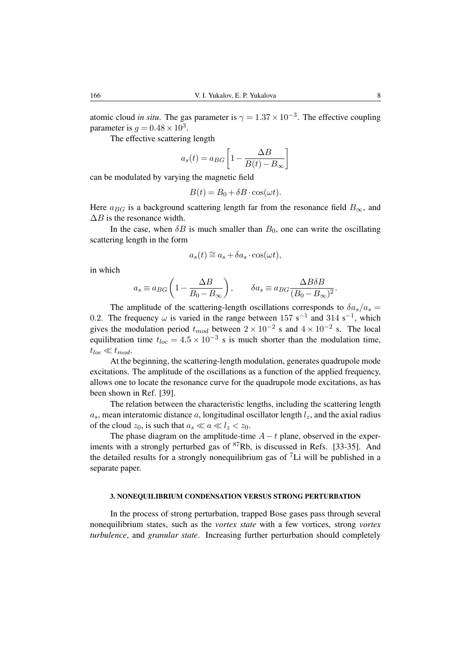atomic cloud *in situ*. The gas parameter is  $\gamma = 1.37 \times 10^{-3}$ . The effective coupling parameter is  $g = 0.48 \times 10^3$ .

The effective scattering length

$$
a_s(t) = a_{BG} \left[ 1 - \frac{\Delta B}{B(t) - B_{\infty}} \right]
$$

can be modulated by varying the magnetic field

$$
B(t) = B_0 + \delta B \cdot \cos(\omega t).
$$

Here  $a_{BG}$  is a background scattering length far from the resonance field  $B_{\infty}$ , and  $\Delta B$  is the resonance width.

In the case, when  $\delta B$  is much smaller than  $B_0$ , one can write the oscillating scattering length in the form

$$
a_s(t) \cong a_s + \delta a_s \cdot \cos(\omega t),
$$

in which

$$
a_s \equiv a_{BG} \left( 1 - \frac{\Delta B}{B_0 - B_\infty} \right), \qquad \delta a_s \equiv a_{BG} \frac{\Delta B \delta B}{(B_0 - B_\infty)^2}.
$$

The amplitude of the scattering-length oscillations corresponds to  $\delta a_s/a_s =$ 0.2. The frequency  $\omega$  is varied in the range between 157 s<sup>-1</sup> and 314 s<sup>-1</sup>, which gives the modulation period  $t_{mod}$  between  $2 \times 10^{-2}$  s and  $4 \times 10^{-2}$  s. The local equilibration time  $t_{loc} = 4.5 \times 10^{-3}$  s is much shorter than the modulation time,  $t_{loc} \ll t_{mod}$ .

At the beginning, the scattering-length modulation, generates quadrupole mode excitations. The amplitude of the oscillations as a function of the applied frequency, allows one to locate the resonance curve for the quadrupole mode excitations, as has been shown in Ref. [39].

The relation between the characteristic lengths, including the scattering length  $a<sub>s</sub>$ , mean interatomic distance a, longitudinal oscillator length  $l<sub>z</sub>$ , and the axial radius of the cloud  $z_0$ , is such that  $a_s \ll a \ll l_z < z_0$ .

The phase diagram on the amplitude-time  $A-t$  plane, observed in the experiments with a strongly perturbed gas of  ${}^{87}Rb$ , is discussed in Refs. [33-35]. And the detailed results for a strongly nonequilibrium gas of  $\mathrm{^{7}Li}$  will be published in a separate paper.

### 3. NONEQUILIBRIUM CONDENSATION VERSUS STRONG PERTURBATION

In the process of strong perturbation, trapped Bose gases pass through several nonequilibrium states, such as the *vortex state* with a few vortices, strong *vortex turbulence*, and *granular state*. Increasing further perturbation should completely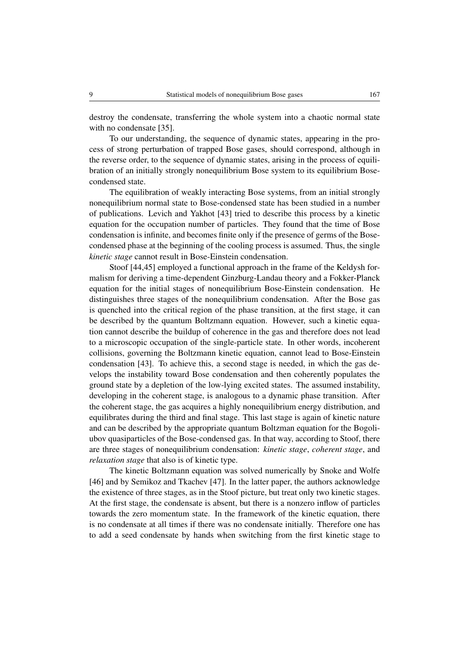destroy the condensate, transferring the whole system into a chaotic normal state with no condensate [35].

To our understanding, the sequence of dynamic states, appearing in the process of strong perturbation of trapped Bose gases, should correspond, although in the reverse order, to the sequence of dynamic states, arising in the process of equilibration of an initially strongly nonequilibrium Bose system to its equilibrium Bosecondensed state.

The equilibration of weakly interacting Bose systems, from an initial strongly nonequilibrium normal state to Bose-condensed state has been studied in a number of publications. Levich and Yakhot [43] tried to describe this process by a kinetic equation for the occupation number of particles. They found that the time of Bose condensation is infinite, and becomes finite only if the presence of germs of the Bosecondensed phase at the beginning of the cooling process is assumed. Thus, the single *kinetic stage* cannot result in Bose-Einstein condensation.

Stoof [44,45] employed a functional approach in the frame of the Keldysh formalism for deriving a time-dependent Ginzburg-Landau theory and a Fokker-Planck equation for the initial stages of nonequilibrium Bose-Einstein condensation. He distinguishes three stages of the nonequilibrium condensation. After the Bose gas is quenched into the critical region of the phase transition, at the first stage, it can be described by the quantum Boltzmann equation. However, such a kinetic equation cannot describe the buildup of coherence in the gas and therefore does not lead to a microscopic occupation of the single-particle state. In other words, incoherent collisions, governing the Boltzmann kinetic equation, cannot lead to Bose-Einstein condensation [43]. To achieve this, a second stage is needed, in which the gas develops the instability toward Bose condensation and then coherently populates the ground state by a depletion of the low-lying excited states. The assumed instability, developing in the coherent stage, is analogous to a dynamic phase transition. After the coherent stage, the gas acquires a highly nonequilibrium energy distribution, and equilibrates during the third and final stage. This last stage is again of kinetic nature and can be described by the appropriate quantum Boltzman equation for the Bogoliubov quasiparticles of the Bose-condensed gas. In that way, according to Stoof, there are three stages of nonequilibrium condensation: *kinetic stage*, *coherent stage*, and *relaxation stage* that also is of kinetic type.

The kinetic Boltzmann equation was solved numerically by Snoke and Wolfe [46] and by Semikoz and Tkachev [47]. In the latter paper, the authors acknowledge the existence of three stages, as in the Stoof picture, but treat only two kinetic stages. At the first stage, the condensate is absent, but there is a nonzero inflow of particles towards the zero momentum state. In the framework of the kinetic equation, there is no condensate at all times if there was no condensate initially. Therefore one has to add a seed condensate by hands when switching from the first kinetic stage to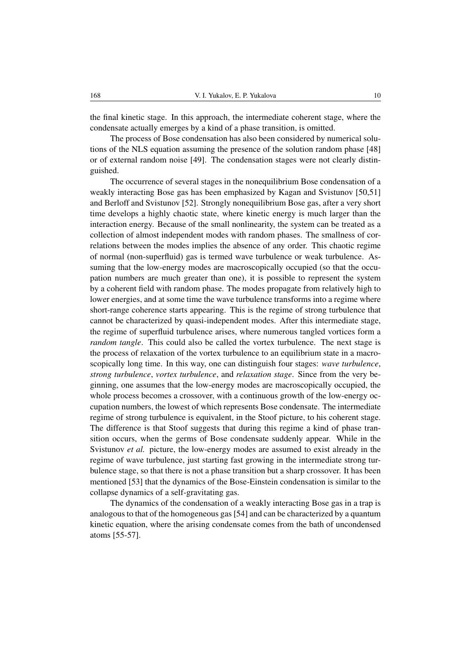the final kinetic stage. In this approach, the intermediate coherent stage, where the condensate actually emerges by a kind of a phase transition, is omitted.

The process of Bose condensation has also been considered by numerical solutions of the NLS equation assuming the presence of the solution random phase [48] or of external random noise [49]. The condensation stages were not clearly distinguished.

The occurrence of several stages in the nonequilibrium Bose condensation of a weakly interacting Bose gas has been emphasized by Kagan and Svistunov [50,51] and Berloff and Svistunov [52]. Strongly nonequilibrium Bose gas, after a very short time develops a highly chaotic state, where kinetic energy is much larger than the interaction energy. Because of the small nonlinearity, the system can be treated as a collection of almost independent modes with random phases. The smallness of correlations between the modes implies the absence of any order. This chaotic regime of normal (non-superfluid) gas is termed wave turbulence or weak turbulence. Assuming that the low-energy modes are macroscopically occupied (so that the occupation numbers are much greater than one), it is possible to represent the system by a coherent field with random phase. The modes propagate from relatively high to lower energies, and at some time the wave turbulence transforms into a regime where short-range coherence starts appearing. This is the regime of strong turbulence that cannot be characterized by quasi-independent modes. After this intermediate stage, the regime of superfluid turbulence arises, where numerous tangled vortices form a *random tangle*. This could also be called the vortex turbulence. The next stage is the process of relaxation of the vortex turbulence to an equilibrium state in a macroscopically long time. In this way, one can distinguish four stages: *wave turbulence*, *strong turbulence*, *vortex turbulence*, and *relaxation stage*. Since from the very beginning, one assumes that the low-energy modes are macroscopically occupied, the whole process becomes a crossover, with a continuous growth of the low-energy occupation numbers, the lowest of which represents Bose condensate. The intermediate regime of strong turbulence is equivalent, in the Stoof picture, to his coherent stage. The difference is that Stoof suggests that during this regime a kind of phase transition occurs, when the germs of Bose condensate suddenly appear. While in the Svistunov *et al.* picture, the low-energy modes are assumed to exist already in the regime of wave turbulence, just starting fast growing in the intermediate strong turbulence stage, so that there is not a phase transition but a sharp crossover. It has been mentioned [53] that the dynamics of the Bose-Einstein condensation is similar to the collapse dynamics of a self-gravitating gas.

The dynamics of the condensation of a weakly interacting Bose gas in a trap is analogous to that of the homogeneous gas [54] and can be characterized by a quantum kinetic equation, where the arising condensate comes from the bath of uncondensed atoms [55-57].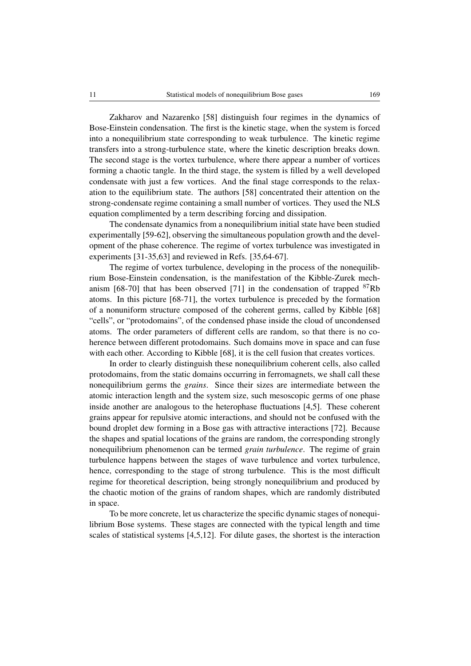Zakharov and Nazarenko [58] distinguish four regimes in the dynamics of Bose-Einstein condensation. The first is the kinetic stage, when the system is forced into a nonequilibrium state corresponding to weak turbulence. The kinetic regime transfers into a strong-turbulence state, where the kinetic description breaks down. The second stage is the vortex turbulence, where there appear a number of vortices forming a chaotic tangle. In the third stage, the system is filled by a well developed condensate with just a few vortices. And the final stage corresponds to the relaxation to the equilibrium state. The authors [58] concentrated their attention on the strong-condensate regime containing a small number of vortices. They used the NLS equation complimented by a term describing forcing and dissipation.

The condensate dynamics from a nonequilibrium initial state have been studied experimentally [59-62], observing the simultaneous population growth and the development of the phase coherence. The regime of vortex turbulence was investigated in experiments [31-35,63] and reviewed in Refs. [35,64-67].

The regime of vortex turbulence, developing in the process of the nonequilibrium Bose-Einstein condensation, is the manifestation of the Kibble-Zurek mechanism [68-70] that has been observed [71] in the condensation of trapped  $87Rb$ atoms. In this picture [68-71], the vortex turbulence is preceded by the formation of a nonuniform structure composed of the coherent germs, called by Kibble [68] "cells", or "protodomains", of the condensed phase inside the cloud of uncondensed atoms. The order parameters of different cells are random, so that there is no coherence between different protodomains. Such domains move in space and can fuse with each other. According to Kibble [68], it is the cell fusion that creates vortices.

In order to clearly distinguish these nonequilibrium coherent cells, also called protodomains, from the static domains occurring in ferromagnets, we shall call these nonequilibrium germs the *grains*. Since their sizes are intermediate between the atomic interaction length and the system size, such mesoscopic germs of one phase inside another are analogous to the heterophase fluctuations [4,5]. These coherent grains appear for repulsive atomic interactions, and should not be confused with the bound droplet dew forming in a Bose gas with attractive interactions [72]. Because the shapes and spatial locations of the grains are random, the corresponding strongly nonequilibrium phenomenon can be termed *grain turbulence*. The regime of grain turbulence happens between the stages of wave turbulence and vortex turbulence, hence, corresponding to the stage of strong turbulence. This is the most difficult regime for theoretical description, being strongly nonequilibrium and produced by the chaotic motion of the grains of random shapes, which are randomly distributed in space.

To be more concrete, let us characterize the specific dynamic stages of nonequilibrium Bose systems. These stages are connected with the typical length and time scales of statistical systems [4,5,12]. For dilute gases, the shortest is the interaction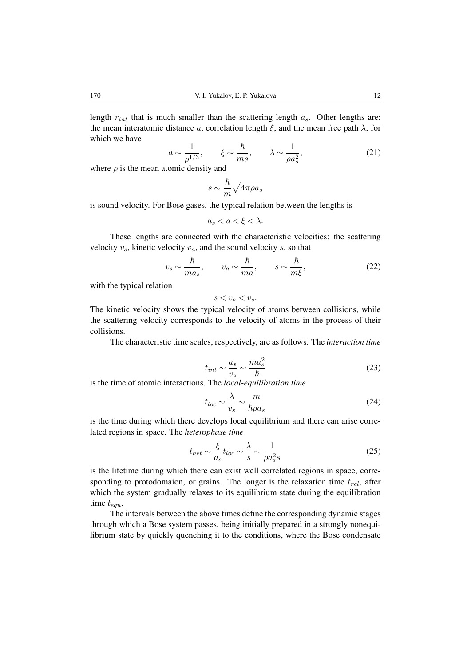length  $r_{int}$  that is much smaller than the scattering length  $a_s$ . Other lengths are: the mean interatomic distance a, correlation length  $\xi$ , and the mean free path  $\lambda$ , for which we have

$$
a \sim \frac{1}{\rho^{1/3}}, \qquad \xi \sim \frac{\hbar}{ms}, \qquad \lambda \sim \frac{1}{\rho a_s^2},
$$
 (21)

where  $\rho$  is the mean atomic density and

$$
s \sim \frac{\hbar}{m} \sqrt{4 \pi \rho a_s}
$$

is sound velocity. For Bose gases, the typical relation between the lengths is

$$
a_s < a < \xi < \lambda.
$$

These lengths are connected with the characteristic velocities: the scattering velocity  $v_s$ , kinetic velocity  $v_a$ , and the sound velocity s, so that

$$
v_s \sim \frac{\hbar}{ma_s}, \qquad v_a \sim \frac{\hbar}{ma}, \qquad s \sim \frac{\hbar}{m\xi}, \tag{22}
$$

with the typical relation

 $s < v_a < v_s$ .

The kinetic velocity shows the typical velocity of atoms between collisions, while the scattering velocity corresponds to the velocity of atoms in the process of their collisions.

The characteristic time scales, respectively, are as follows. The *interaction time*

$$
t_{int} \sim \frac{a_s}{v_s} \sim \frac{ma_s^2}{\hbar} \tag{23}
$$

is the time of atomic interactions. The *local-equilibration time*

$$
t_{loc} \sim \frac{\lambda}{v_s} \sim \frac{m}{\hbar \rho a_s} \tag{24}
$$

is the time during which there develops local equilibrium and there can arise correlated regions in space. The *heterophase time*

$$
t_{het} \sim \frac{\xi}{a_s} t_{loc} \sim \frac{\lambda}{s} \sim \frac{1}{\rho a_s^2 s} \tag{25}
$$

is the lifetime during which there can exist well correlated regions in space, corresponding to protodomaion, or grains. The longer is the relaxation time  $t_{rel}$ , after which the system gradually relaxes to its equilibrium state during the equilibration time  $t_{equ}$ .

The intervals between the above times define the corresponding dynamic stages through which a Bose system passes, being initially prepared in a strongly nonequilibrium state by quickly quenching it to the conditions, where the Bose condensate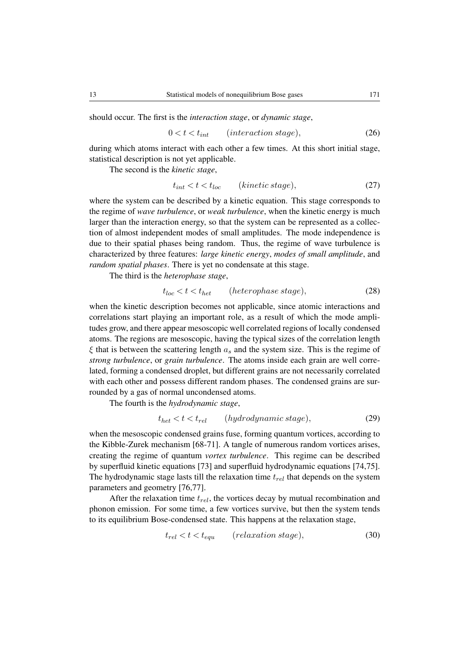should occur. The first is the *interaction stage*, or *dynamic stage*,

$$
0 < t < t_{int} \qquad (interaction stage), \tag{26}
$$

during which atoms interact with each other a few times. At this short initial stage, statistical description is not yet applicable.

The second is the *kinetic stage*,

$$
t_{int} < t < t_{loc} \qquad (kinetic stage), \tag{27}
$$

where the system can be described by a kinetic equation. This stage corresponds to the regime of *wave turbulence*, or *weak turbulence*, when the kinetic energy is much larger than the interaction energy, so that the system can be represented as a collection of almost independent modes of small amplitudes. The mode independence is due to their spatial phases being random. Thus, the regime of wave turbulence is characterized by three features: *large kinetic energy*, *modes of small amplitude*, and *random spatial phases*. There is yet no condensate at this stage.

The third is the *heterophase stage*,

$$
t_{loc} < t < t_{het} \qquad (heterophase stage), \tag{28}
$$

when the kinetic description becomes not applicable, since atomic interactions and correlations start playing an important role, as a result of which the mode amplitudes grow, and there appear mesoscopic well correlated regions of locally condensed atoms. The regions are mesoscopic, having the typical sizes of the correlation length  $\xi$  that is between the scattering length  $a_s$  and the system size. This is the regime of *strong turbulence*, or *grain turbulence*. The atoms inside each grain are well correlated, forming a condensed droplet, but different grains are not necessarily correlated with each other and possess different random phases. The condensed grains are surrounded by a gas of normal uncondensed atoms.

The fourth is the *hydrodynamic stage*,

$$
t_{het} < t < t_{rel} \qquad (hydrodynamic stage), \tag{29}
$$

when the mesoscopic condensed grains fuse, forming quantum vortices, according to the Kibble-Zurek mechanism [68-71]. A tangle of numerous random vortices arises, creating the regime of quantum *vortex turbulence*. This regime can be described by superfluid kinetic equations [73] and superfluid hydrodynamic equations [74,75]. The hydrodynamic stage lasts till the relaxation time  $t_{rel}$  that depends on the system parameters and geometry [76,77].

After the relaxation time  $t_{rel}$ , the vortices decay by mutual recombination and phonon emission. For some time, a few vortices survive, but then the system tends to its equilibrium Bose-condensed state. This happens at the relaxation stage,

$$
t_{rel} < t < t_{equ} \qquad (relaxation stage), \tag{30}
$$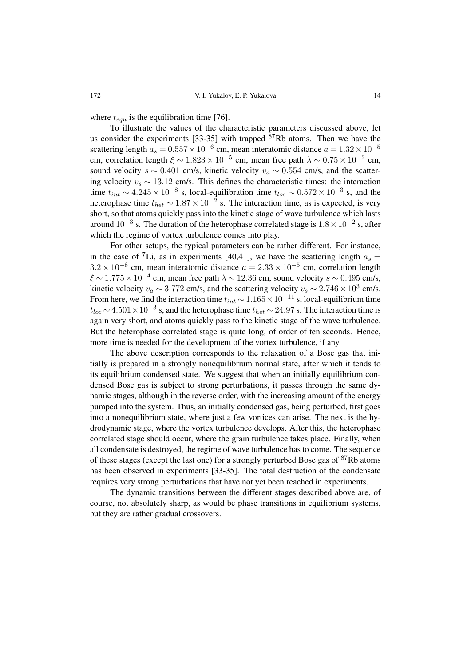where  $t_{equ}$  is the equilibration time [76].

To illustrate the values of the characteristic parameters discussed above, let us consider the experiments [33-35] with trapped  $87Rb$  atoms. Then we have the scattering length  $a_s = 0.557 \times 10^{-6}$  cm, mean interatomic distance  $a = 1.32 \times 10^{-5}$ cm, correlation length  $\xi \sim 1.823 \times 10^{-5}$  cm, mean free path  $\lambda \sim 0.75 \times 10^{-2}$  cm, sound velocity s ∼ 0.401 cm/s, kinetic velocity  $v_a \sim 0.554$  cm/s, and the scattering velocity  $v_s \sim 13.12$  cm/s. This defines the characteristic times: the interaction time  $t_{int} \sim 4.245 \times 10^{-8}$  s, local-equilibration time  $t_{loc} \sim 0.572 \times 10^{-3}$  s, and the heterophase time  $t_{het} \sim 1.87 \times 10^{-2}$  s. The interaction time, as is expected, is very short, so that atoms quickly pass into the kinetic stage of wave turbulence which lasts around  $10^{-3}$  s. The duration of the heterophase correlated stage is  $1.8 \times 10^{-2}$  s, after which the regime of vortex turbulence comes into play.

For other setups, the typical parameters can be rather different. For instance, in the case of <sup>7</sup>Li, as in experiments [40,41], we have the scattering length  $a_s =$  $3.2 \times 10^{-8}$  cm, mean interatomic distance  $a = 2.33 \times 10^{-5}$  cm, correlation length  $\xi \sim 1.775 \times 10^{-4}$  cm, mean free path  $\lambda \sim 12.36$  cm, sound velocity  $s \sim 0.495$  cm/s, kinetic velocity  $v_a \sim 3.772$  cm/s, and the scattering velocity  $v_s \sim 2.746 \times 10^3$  cm/s. From here, we find the interaction time  $t_{int} \sim 1.165 \times 10^{-11}$  s, local-equilibrium time  $t_{loc}$  ∼ 4.501 × 10<sup>-3</sup> s, and the heterophase time  $t_{het}$  ~ 24.97 s. The interaction time is again very short, and atoms quickly pass to the kinetic stage of the wave turbulence. But the heterophase correlated stage is quite long, of order of ten seconds. Hence, more time is needed for the development of the vortex turbulence, if any.

The above description corresponds to the relaxation of a Bose gas that initially is prepared in a strongly nonequilibrium normal state, after which it tends to its equilibrium condensed state. We suggest that when an initially equilibrium condensed Bose gas is subject to strong perturbations, it passes through the same dynamic stages, although in the reverse order, with the increasing amount of the energy pumped into the system. Thus, an initially condensed gas, being perturbed, first goes into a nonequilibrium state, where just a few vortices can arise. The next is the hydrodynamic stage, where the vortex turbulence develops. After this, the heterophase correlated stage should occur, where the grain turbulence takes place. Finally, when all condensate is destroyed, the regime of wave turbulence has to come. The sequence of these stages (except the last one) for a strongly perturbed Bose gas of <sup>87</sup>Rb atoms has been observed in experiments [33-35]. The total destruction of the condensate requires very strong perturbations that have not yet been reached in experiments.

The dynamic transitions between the different stages described above are, of course, not absolutely sharp, as would be phase transitions in equilibrium systems, but they are rather gradual crossovers.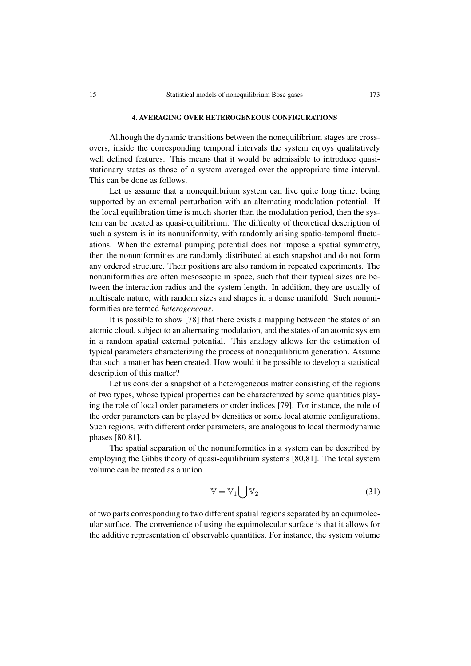#### 4. AVERAGING OVER HETEROGENEOUS CONFIGURATIONS

Although the dynamic transitions between the nonequilibrium stages are crossovers, inside the corresponding temporal intervals the system enjoys qualitatively well defined features. This means that it would be admissible to introduce quasistationary states as those of a system averaged over the appropriate time interval. This can be done as follows.

Let us assume that a nonequilibrium system can live quite long time, being supported by an external perturbation with an alternating modulation potential. If the local equilibration time is much shorter than the modulation period, then the system can be treated as quasi-equilibrium. The difficulty of theoretical description of such a system is in its nonuniformity, with randomly arising spatio-temporal fluctuations. When the external pumping potential does not impose a spatial symmetry, then the nonuniformities are randomly distributed at each snapshot and do not form any ordered structure. Their positions are also random in repeated experiments. The nonuniformities are often mesoscopic in space, such that their typical sizes are between the interaction radius and the system length. In addition, they are usually of multiscale nature, with random sizes and shapes in a dense manifold. Such nonuniformities are termed *heterogeneous*.

It is possible to show [78] that there exists a mapping between the states of an atomic cloud, subject to an alternating modulation, and the states of an atomic system in a random spatial external potential. This analogy allows for the estimation of typical parameters characterizing the process of nonequilibrium generation. Assume that such a matter has been created. How would it be possible to develop a statistical description of this matter?

Let us consider a snapshot of a heterogeneous matter consisting of the regions of two types, whose typical properties can be characterized by some quantities playing the role of local order parameters or order indices [79]. For instance, the role of the order parameters can be played by densities or some local atomic configurations. Such regions, with different order parameters, are analogous to local thermodynamic phases [80,81].

The spatial separation of the nonuniformities in a system can be described by employing the Gibbs theory of quasi-equilibrium systems [80,81]. The total system volume can be treated as a union

$$
\mathbb{V} = \mathbb{V}_1 \big| \mathbb{V}_2 \tag{31}
$$

of two parts corresponding to two different spatial regions separated by an equimolecular surface. The convenience of using the equimolecular surface is that it allows for the additive representation of observable quantities. For instance, the system volume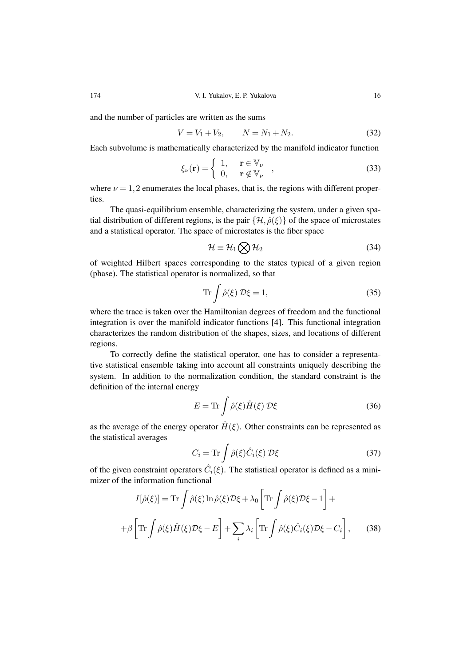and the number of particles are written as the sums

$$
V = V_1 + V_2, \qquad N = N_1 + N_2. \tag{32}
$$

Each subvolume is mathematically characterized by the manifold indicator function

$$
\xi_{\nu}(\mathbf{r}) = \begin{cases} 1, & \mathbf{r} \in \mathbb{V}_{\nu} \\ 0, & \mathbf{r} \notin \mathbb{V}_{\nu} \end{cases},
$$
(33)

where  $\nu = 1, 2$  enumerates the local phases, that is, the regions with different properties.

The quasi-equilibrium ensemble, characterizing the system, under a given spatial distribution of different regions, is the pair  $\{\mathcal{H}, \hat{\rho}(\xi)\}\$  of the space of microstates and a statistical operator. The space of microstates is the fiber space

$$
\mathcal{H} \equiv \mathcal{H}_1 \bigotimes \mathcal{H}_2 \tag{34}
$$

of weighted Hilbert spaces corresponding to the states typical of a given region (phase). The statistical operator is normalized, so that

$$
\operatorname{Tr} \int \hat{\rho}(\xi) \, \mathcal{D}\xi = 1,\tag{35}
$$

where the trace is taken over the Hamiltonian degrees of freedom and the functional integration is over the manifold indicator functions [4]. This functional integration characterizes the random distribution of the shapes, sizes, and locations of different regions.

To correctly define the statistical operator, one has to consider a representative statistical ensemble taking into account all constraints uniquely describing the system. In addition to the normalization condition, the standard constraint is the definition of the internal energy

$$
E = \text{Tr} \int \hat{\rho}(\xi) \hat{H}(\xi) \mathcal{D}\xi \tag{36}
$$

as the average of the energy operator  $\hat{H}(\xi)$ . Other constraints can be represented as the statistical averages

$$
C_i = \text{Tr} \int \hat{\rho}(\xi) \hat{C}_i(\xi) \, \mathcal{D}\xi \tag{37}
$$

of the given constraint operators  $\hat{C}_i(\xi)$ . The statistical operator is defined as a minimizer of the information functional

$$
I[\hat{\rho}(\xi)] = \text{Tr} \int \hat{\rho}(\xi) \ln \hat{\rho}(\xi) \mathcal{D}\xi + \lambda_0 \left[ \text{Tr} \int \hat{\rho}(\xi) \mathcal{D}\xi - 1 \right] +
$$

$$
+ \beta \left[ \text{Tr} \int \hat{\rho}(\xi) \hat{H}(\xi) \mathcal{D}\xi - E \right] + \sum_{i} \lambda_i \left[ \text{Tr} \int \hat{\rho}(\xi) \hat{C}_i(\xi) \mathcal{D}\xi - C_i \right], \qquad (38)
$$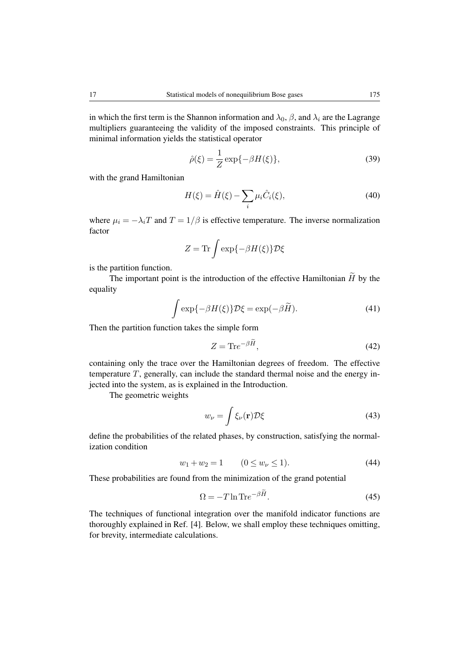in which the first term is the Shannon information and  $\lambda_0$ ,  $\beta$ , and  $\lambda_i$  are the Lagrange multipliers guaranteeing the validity of the imposed constraints. This principle of minimal information yields the statistical operator

$$
\hat{\rho}(\xi) = \frac{1}{Z} \exp\{-\beta H(\xi)\},\tag{39}
$$

with the grand Hamiltonian

$$
H(\xi) = \hat{H}(\xi) - \sum_{i} \mu_i \hat{C}_i(\xi),
$$
\n(40)

where  $\mu_i = -\lambda_i T$  and  $T = 1/\beta$  is effective temperature. The inverse normalization factor

$$
Z = \text{Tr} \int \exp\{-\beta H(\xi)\} \mathcal{D}\xi
$$

is the partition function.

The important point is the introduction of the effective Hamiltonian  $\widetilde{H}$  by the equality

$$
\int \exp\{-\beta H(\xi)\}\mathcal{D}\xi = \exp(-\beta \widetilde{H}).\tag{41}
$$

Then the partition function takes the simple form

$$
Z = \text{Tr}e^{-\beta H},\tag{42}
$$

containing only the trace over the Hamiltonian degrees of freedom. The effective temperature  $T$ , generally, can include the standard thermal noise and the energy injected into the system, as is explained in the Introduction.

The geometric weights

$$
w_{\nu} = \int \xi_{\nu}(\mathbf{r}) \mathcal{D}\xi
$$
 (43)

define the probabilities of the related phases, by construction, satisfying the normalization condition

$$
w_1 + w_2 = 1 \qquad (0 \le w_\nu \le 1). \tag{44}
$$

These probabilities are found from the minimization of the grand potential

$$
\Omega = -T \ln \text{Tr} e^{-\beta \tilde{H}}.
$$
\n(45)

The techniques of functional integration over the manifold indicator functions are thoroughly explained in Ref. [4]. Below, we shall employ these techniques omitting, for brevity, intermediate calculations.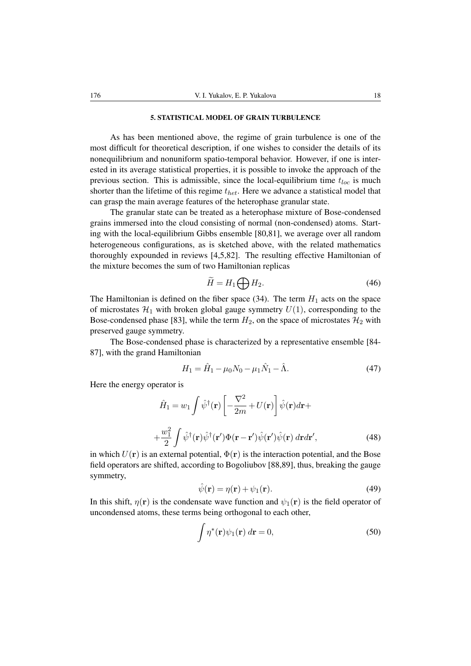### 5. STATISTICAL MODEL OF GRAIN TURBULENCE

As has been mentioned above, the regime of grain turbulence is one of the most difficult for theoretical description, if one wishes to consider the details of its nonequilibrium and nonuniform spatio-temporal behavior. However, if one is interested in its average statistical properties, it is possible to invoke the approach of the previous section. This is admissible, since the local-equilibrium time  $t_{loc}$  is much shorter than the lifetime of this regime  $t_{het}$ . Here we advance a statistical model that can grasp the main average features of the heterophase granular state.

The granular state can be treated as a heterophase mixture of Bose-condensed grains immersed into the cloud consisting of normal (non-condensed) atoms. Starting with the local-equilibrium Gibbs ensemble [80,81], we average over all random heterogeneous configurations, as is sketched above, with the related mathematics thoroughly expounded in reviews [4,5,82]. The resulting effective Hamiltonian of the mixture becomes the sum of two Hamiltonian replicas

$$
\widetilde{H} = H_1 \bigoplus H_2. \tag{46}
$$

The Hamiltonian is defined on the fiber space (34). The term  $H_1$  acts on the space of microstates  $\mathcal{H}_1$  with broken global gauge symmetry  $U(1)$ , corresponding to the Bose-condensed phase [83], while the term  $H_2$ , on the space of microstates  $\mathcal{H}_2$  with preserved gauge symmetry.

The Bose-condensed phase is characterized by a representative ensemble [84- 87], with the grand Hamiltonian

$$
H_1 = \hat{H}_1 - \mu_0 N_0 - \mu_1 \hat{N}_1 - \hat{\Lambda}.
$$
 (47)

Here the energy operator is

$$
\hat{H}_1 = w_1 \int \hat{\psi}^{\dagger}(\mathbf{r}) \left[ -\frac{\nabla^2}{2m} + U(\mathbf{r}) \right] \hat{\psi}(\mathbf{r}) d\mathbf{r} +
$$

$$
+ \frac{w_1^2}{2} \int \hat{\psi}^{\dagger}(\mathbf{r}) \hat{\psi}^{\dagger}(\mathbf{r'}) \Phi(\mathbf{r} - \mathbf{r'}) \hat{\psi}(\mathbf{r'}) \hat{\psi}(\mathbf{r}) d\mathbf{r} d\mathbf{r'},
$$
(48)

in which  $U(\mathbf{r})$  is an external potential,  $\Phi(\mathbf{r})$  is the interaction potential, and the Bose field operators are shifted, according to Bogoliubov [88,89], thus, breaking the gauge symmetry,

$$
\hat{\psi}(\mathbf{r}) = \eta(\mathbf{r}) + \psi_1(\mathbf{r}).\tag{49}
$$

In this shift,  $\eta(\mathbf{r})$  is the condensate wave function and  $\psi_1(\mathbf{r})$  is the field operator of uncondensed atoms, these terms being orthogonal to each other,

$$
\int \eta^*(\mathbf{r}) \psi_1(\mathbf{r}) \, d\mathbf{r} = 0,\tag{50}
$$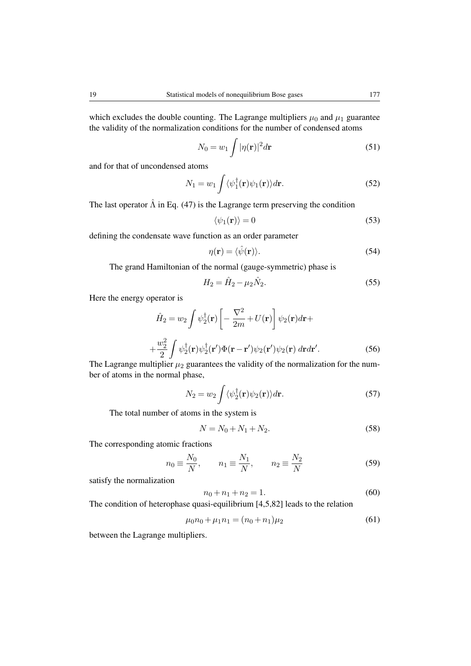which excludes the double counting. The Lagrange multipliers  $\mu_0$  and  $\mu_1$  guarantee the validity of the normalization conditions for the number of condensed atoms

$$
N_0 = w_1 \int |\eta(\mathbf{r})|^2 d\mathbf{r}
$$
 (51)

and for that of uncondensed atoms

$$
N_1 = w_1 \int \langle \psi_1^{\dagger}(\mathbf{r}) \psi_1(\mathbf{r}) \rangle d\mathbf{r}.
$$
 (52)

The last operator  $\hat{\Lambda}$  in Eq. (47) is the Lagrange term preserving the condition

$$
\langle \psi_1(\mathbf{r}) \rangle = 0 \tag{53}
$$

defining the condensate wave function as an order parameter

$$
\eta(\mathbf{r}) = \langle \hat{\psi}(\mathbf{r}) \rangle.
$$
 (54)

The grand Hamiltonian of the normal (gauge-symmetric) phase is

$$
H_2 = \hat{H}_2 - \mu_2 \hat{N}_2. \tag{55}
$$

Here the energy operator is

$$
\hat{H}_2 = w_2 \int \psi_2^{\dagger}(\mathbf{r}) \left[ -\frac{\nabla^2}{2m} + U(\mathbf{r}) \right] \psi_2(\mathbf{r}) d\mathbf{r} +
$$

$$
+ \frac{w_2^2}{2} \int \psi_2^{\dagger}(\mathbf{r}) \psi_2^{\dagger}(\mathbf{r'}) \Phi(\mathbf{r} - \mathbf{r'}) \psi_2(\mathbf{r'}) \psi_2(\mathbf{r}) d\mathbf{r} d\mathbf{r'}.
$$
(56)

The Lagrange multiplier  $\mu_2$  guarantees the validity of the normalization for the number of atoms in the normal phase,

$$
N_2 = w_2 \int \langle \psi_2^{\dagger}(\mathbf{r}) \psi_2(\mathbf{r}) \rangle d\mathbf{r}.
$$
 (57)

The total number of atoms in the system is

$$
N = N_0 + N_1 + N_2. \tag{58}
$$

The corresponding atomic fractions

$$
n_0 \equiv \frac{N_0}{N}, \qquad n_1 \equiv \frac{N_1}{N}, \qquad n_2 \equiv \frac{N_2}{N}
$$
 (59)

satisfy the normalization

$$
n_0 + n_1 + n_2 = 1.
$$
\n(60)

The condition of heterophase quasi-equilibrium [4,5,82] leads to the relation

$$
\mu_0 n_0 + \mu_1 n_1 = (n_0 + n_1)\mu_2 \tag{61}
$$

between the Lagrange multipliers.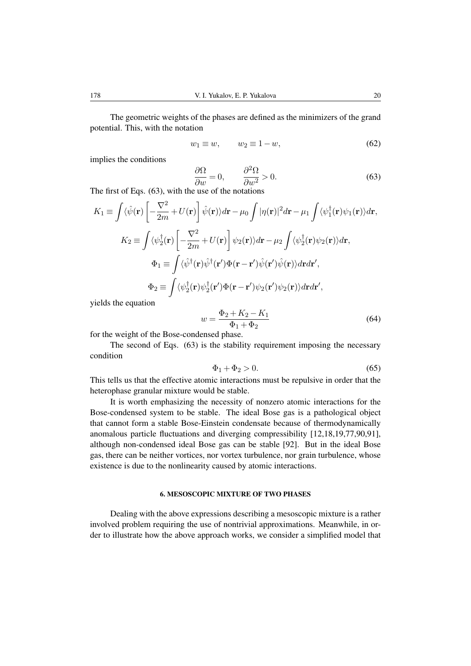The geometric weights of the phases are defined as the minimizers of the grand potential. This, with the notation

$$
w_1 \equiv w, \qquad w_2 \equiv 1 - w,\tag{62}
$$

implies the conditions

$$
\frac{\partial \Omega}{\partial w} = 0, \qquad \frac{\partial^2 \Omega}{\partial w^2} > 0.
$$
\n(63)

The first of Eqs. (63), with the use of the notations

$$
K_{1} \equiv \int \langle \hat{\psi}(\mathbf{r}) \left[ -\frac{\nabla^{2}}{2m} + U(\mathbf{r}) \right] \hat{\psi}(\mathbf{r}) \rangle d\mathbf{r} - \mu_{0} \int |\eta(\mathbf{r})|^{2} d\mathbf{r} - \mu_{1} \int \langle \psi_{1}^{\dagger}(\mathbf{r}) \psi_{1}(\mathbf{r}) \rangle d\mathbf{r},
$$
  
\n
$$
K_{2} \equiv \int \langle \psi_{2}^{\dagger}(\mathbf{r}) \left[ -\frac{\nabla^{2}}{2m} + U(\mathbf{r}) \right] \psi_{2}(\mathbf{r}) \rangle d\mathbf{r} - \mu_{2} \int \langle \psi_{2}^{\dagger}(\mathbf{r}) \psi_{2}(\mathbf{r}) \rangle d\mathbf{r},
$$
  
\n
$$
\Phi_{1} \equiv \int \langle \hat{\psi}^{\dagger}(\mathbf{r}) \hat{\psi}^{\dagger}(\mathbf{r}') \Phi(\mathbf{r} - \mathbf{r}') \hat{\psi}(\mathbf{r}') \hat{\psi}(\mathbf{r}) \rangle d\mathbf{r} d\mathbf{r}',
$$
  
\n
$$
\Phi_{2} \equiv \int \langle \psi_{2}^{\dagger}(\mathbf{r}) \psi_{2}^{\dagger}(\mathbf{r}') \Phi(\mathbf{r} - \mathbf{r}') \psi_{2}(\mathbf{r}') \psi_{2}(\mathbf{r}) \rangle d\mathbf{r} d\mathbf{r}',
$$

yields the equation

$$
w = \frac{\Phi_2 + K_2 - K_1}{\Phi_1 + \Phi_2} \tag{64}
$$

for the weight of the Bose-condensed phase.

The second of Eqs. (63) is the stability requirement imposing the necessary condition

$$
\Phi_1 + \Phi_2 > 0. \tag{65}
$$

This tells us that the effective atomic interactions must be repulsive in order that the heterophase granular mixture would be stable.

It is worth emphasizing the necessity of nonzero atomic interactions for the Bose-condensed system to be stable. The ideal Bose gas is a pathological object that cannot form a stable Bose-Einstein condensate because of thermodynamically anomalous particle fluctuations and diverging compressibility [12,18,19,77,90,91], although non-condensed ideal Bose gas can be stable [92]. But in the ideal Bose gas, there can be neither vortices, nor vortex turbulence, nor grain turbulence, whose existence is due to the nonlinearity caused by atomic interactions.

## 6. MESOSCOPIC MIXTURE OF TWO PHASES

Dealing with the above expressions describing a mesoscopic mixture is a rather involved problem requiring the use of nontrivial approximations. Meanwhile, in order to illustrate how the above approach works, we consider a simplified model that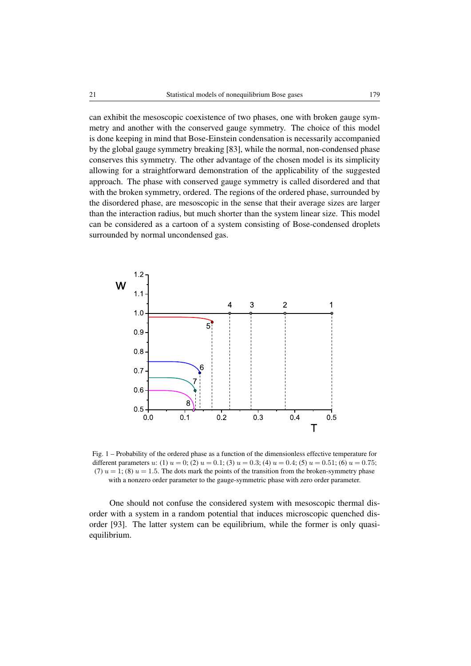can exhibit the mesoscopic coexistence of two phases, one with broken gauge symmetry and another with the conserved gauge symmetry. The choice of this model is done keeping in mind that Bose-Einstein condensation is necessarily accompanied by the global gauge symmetry breaking [83], while the normal, non-condensed phase conserves this symmetry. The other advantage of the chosen model is its simplicity allowing for a straightforward demonstration of the applicability of the suggested approach. The phase with conserved gauge symmetry is called disordered and that with the broken symmetry, ordered. The regions of the ordered phase, surrounded by the disordered phase, are mesoscopic in the sense that their average sizes are larger than the interaction radius, but much shorter than the system linear size. This model can be considered as a cartoon of a system consisting of Bose-condensed droplets surrounded by normal uncondensed gas.



Fig. 1 – Probability of the ordered phase as a function of the dimensionless effective temperature for different parameters u: (1)  $u = 0$ ; (2)  $u = 0.1$ ; (3)  $u = 0.3$ ; (4)  $u = 0.4$ ; (5)  $u = 0.51$ ; (6)  $u = 0.75$ ; (7)  $u = 1$ ; (8)  $u = 1.5$ . The dots mark the points of the transition from the broken-symmetry phase with a nonzero order parameter to the gauge-symmetric phase with zero order parameter.

One should not confuse the considered system with mesoscopic thermal disorder with a system in a random potential that induces microscopic quenched disorder [93]. The latter system can be equilibrium, while the former is only quasiequilibrium.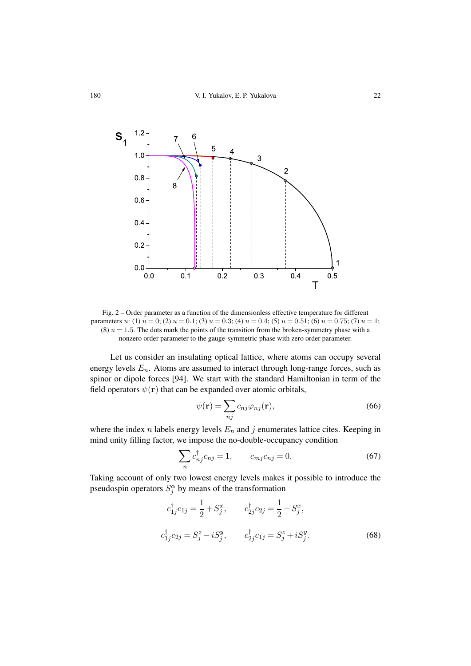

Fig. 2 – Order parameter as a function of the dimensionless effective temperature for different parameters u: (1)  $u = 0$ ; (2)  $u = 0.1$ ; (3)  $u = 0.3$ ; (4)  $u = 0.4$ ; (5)  $u = 0.51$ ; (6)  $u = 0.75$ ; (7)  $u = 1$ ; (8)  $u = 1.5$ . The dots mark the points of the transition from the broken-symmetry phase with a nonzero order parameter to the gauge-symmetric phase with zero order parameter.

Let us consider an insulating optical lattice, where atoms can occupy several energy levels  $E_n$ . Atoms are assumed to interact through long-range forces, such as spinor or dipole forces [94]. We start with the standard Hamiltonian in term of the field operators  $\psi(\mathbf{r})$  that can be expanded over atomic orbitals,

$$
\psi(\mathbf{r}) = \sum_{nj} c_{nj} \varphi_{nj}(\mathbf{r}),\tag{66}
$$

where the index n labels energy levels  $E_n$  and j enumerates lattice cites. Keeping in mind unity filling factor, we impose the no-double-occupancy condition

$$
\sum_{n} c_{nj}^{\dagger} c_{nj} = 1, \qquad c_{mj} c_{nj} = 0. \tag{67}
$$

Taking account of only two lowest energy levels makes it possible to introduce the pseudospin operators  $S_j^{\alpha}$  by means of the transformation

$$
c_{1j}^{\dagger} c_{1j} = \frac{1}{2} + S_j^x, \t c_{2j}^{\dagger} c_{2j} = \frac{1}{2} - S_j^x,
$$
  

$$
c_{1j}^{\dagger} c_{2j} = S_j^z - i S_j^y, \t c_{2j}^{\dagger} c_{1j} = S_j^z + i S_j^y.
$$
 (68)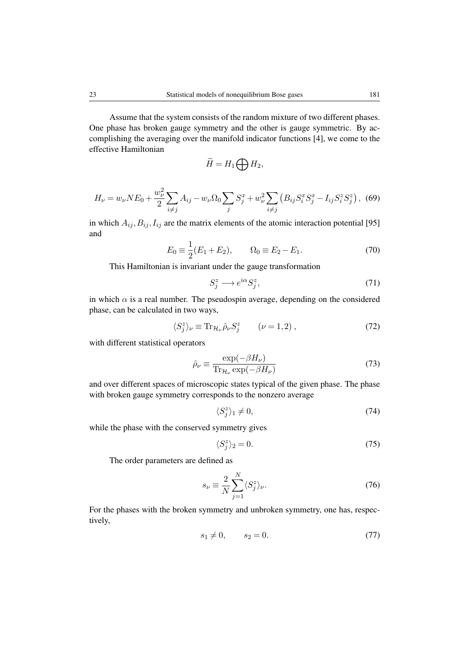Assume that the system consists of the random mixture of two different phases. One phase has broken gauge symmetry and the other is gauge symmetric. By ac-

complishing the averaging over the manifold indicator functions [4], we come to the effective Hamiltonian

$$
\widetilde{H}=H_1\bigoplus H_2,
$$

$$
H_{\nu} = w_{\nu} N E_0 + \frac{w_{\nu}^2}{2} \sum_{i \neq j} A_{ij} - w_{\nu} \Omega_0 \sum_j S_j^x + w_{\nu}^2 \sum_{i \neq j} \left( B_{ij} S_i^x S_j^x - I_{ij} S_i^z S_j^z \right),
$$
 (69)

in which  $A_{ij}, B_{ij}, I_{ij}$  are the matrix elements of the atomic interaction potential [95] and

$$
E_0 \equiv \frac{1}{2}(E_1 + E_2), \qquad \Omega_0 \equiv E_2 - E_1.
$$
 (70)

This Hamiltonian is invariant under the gauge transformation

$$
S_j^z \longrightarrow e^{i\alpha} S_j^z,\tag{71}
$$

in which  $\alpha$  is a real number. The pseudospin average, depending on the considered phase, can be calculated in two ways,

$$
\langle S_j^z \rangle_{\nu} \equiv \text{Tr}_{\mathcal{H}_{\nu}} \hat{\rho}_{\nu} S_j^z \qquad (\nu = 1, 2) , \qquad (72)
$$

with different statistical operators

$$
\hat{\rho}_{\nu} \equiv \frac{\exp(-\beta H_{\nu})}{\text{Tr}_{\mathcal{H}_{\nu}} \exp(-\beta H_{\nu})}
$$
(73)

and over different spaces of microscopic states typical of the given phase. The phase with broken gauge symmetry corresponds to the nonzero average

$$
\langle S_j^z \rangle_1 \neq 0,\tag{74}
$$

while the phase with the conserved symmetry gives

$$
\langle S_j^z \rangle_2 = 0. \tag{75}
$$

The order parameters are defined as

$$
s_{\nu} \equiv \frac{2}{N} \sum_{j=1}^{N} \langle S_j^z \rangle_{\nu}.
$$
 (76)

For the phases with the broken symmetry and unbroken symmetry, one has, respectively,

$$
s_1 \neq 0, \qquad s_2 = 0. \tag{77}
$$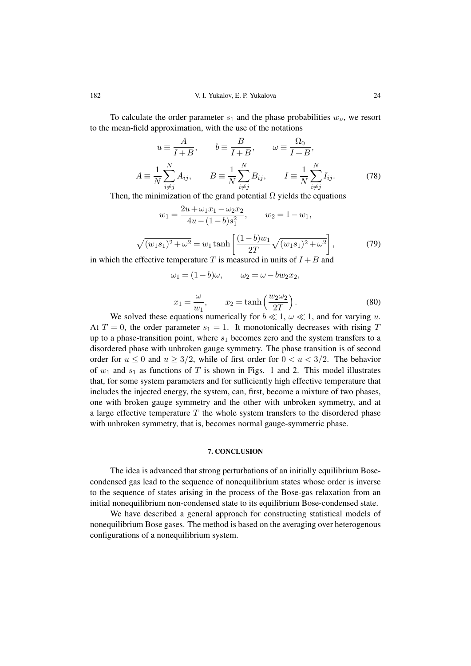To calculate the order parameter  $s_1$  and the phase probabilities  $w_{\nu}$ , we resort to the mean-field approximation, with the use of the notations

$$
u \equiv \frac{A}{I+B}, \qquad b \equiv \frac{B}{I+B}, \qquad \omega \equiv \frac{\Omega_0}{I+B},
$$
  

$$
A \equiv \frac{1}{N} \sum_{i \neq j}^{N} A_{ij}, \qquad B \equiv \frac{1}{N} \sum_{i \neq j}^{N} B_{ij}, \qquad I \equiv \frac{1}{N} \sum_{i \neq j}^{N} I_{ij}.
$$
 (78)

Then, the minimization of the grand potential  $\Omega$  yields the equations

$$
w_1 = \frac{2u + \omega_1 x_1 - \omega_2 x_2}{4u - (1 - b)s_1^2}, \qquad w_2 = 1 - w_1,
$$
  

$$
\sqrt{(w_1 s_1)^2 + \omega^2} = w_1 \tanh\left[\frac{(1 - b)w_1}{2T}\sqrt{(w_1 s_1)^2 + \omega^2}\right],
$$
(79)

in which the effective temperature T is measured in units of  $I + B$  and

$$
x_1 = \frac{\omega}{w_1}, \qquad x_2 = \tanh\left(\frac{w_2 \omega_2}{2T}\right). \tag{80}
$$

We solved these equations numerically for  $b \ll 1$ ,  $\omega \ll 1$ , and for varying u. At  $T = 0$ , the order parameter  $s_1 = 1$ . It monotonically decreases with rising T up to a phase-transition point, where  $s_1$  becomes zero and the system transfers to a disordered phase with unbroken gauge symmetry. The phase transition is of second order for  $u \le 0$  and  $u \ge 3/2$ , while of first order for  $0 < u < 3/2$ . The behavior of  $w_1$  and  $s_1$  as functions of T is shown in Figs. 1 and 2. This model illustrates that, for some system parameters and for sufficiently high effective temperature that includes the injected energy, the system, can, first, become a mixture of two phases, one with broken gauge symmetry and the other with unbroken symmetry, and at a large effective temperature  $T$  the whole system transfers to the disordered phase with unbroken symmetry, that is, becomes normal gauge-symmetric phase.

 $\omega_1 = (1-b)\omega, \qquad \omega_2 = \omega - bw_2x_2,$ 

#### 7. CONCLUSION

The idea is advanced that strong perturbations of an initially equilibrium Bosecondensed gas lead to the sequence of nonequilibrium states whose order is inverse to the sequence of states arising in the process of the Bose-gas relaxation from an initial nonequilibrium non-condensed state to its equilibrium Bose-condensed state.

We have described a general approach for constructing statistical models of nonequilibrium Bose gases. The method is based on the averaging over heterogenous configurations of a nonequilibrium system.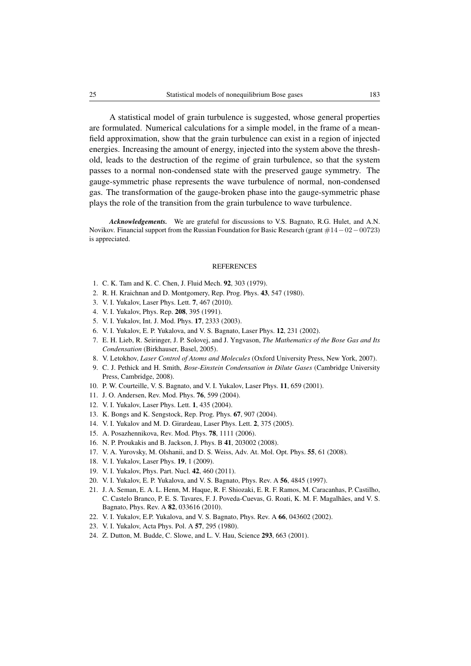A statistical model of grain turbulence is suggested, whose general properties are formulated. Numerical calculations for a simple model, in the frame of a meanfield approximation, show that the grain turbulence can exist in a region of injected energies. Increasing the amount of energy, injected into the system above the threshold, leads to the destruction of the regime of grain turbulence, so that the system passes to a normal non-condensed state with the preserved gauge symmetry. The gauge-symmetric phase represents the wave turbulence of normal, non-condensed gas. The transformation of the gauge-broken phase into the gauge-symmetric phase plays the role of the transition from the grain turbulence to wave turbulence.

*Acknowledgements.* We are grateful for discussions to V.S. Bagnato, R.G. Hulet, and A.N. Novikov. Financial support from the Russian Foundation for Basic Research (grant #14−02−00723) is appreciated.

#### **REFERENCES**

- 1. C. K. Tam and K. C. Chen, J. Fluid Mech. 92, 303 (1979).
- 2. R. H. Kraichnan and D. Montgomery, Rep. Prog. Phys. 43, 547 (1980).
- 3. V. I. Yukalov, Laser Phys. Lett. 7, 467 (2010).
- 4. V. I. Yukalov, Phys. Rep. 208, 395 (1991).
- 5. V. I. Yukalov, Int. J. Mod. Phys. 17, 2333 (2003).
- 6. V. I. Yukalov, E. P. Yukalova, and V. S. Bagnato, Laser Phys. 12, 231 (2002).
- 7. E. H. Lieb, R. Seiringer, J. P. Solovej, and J. Yngvason, *The Mathematics of the Bose Gas and Its Condensation* (Birkhauser, Basel, 2005).
- 8. V. Letokhov, *Laser Control of Atoms and Molecules* (Oxford University Press, New York, 2007).
- 9. C. J. Pethick and H. Smith, *Bose-Einstein Condensation in Dilute Gases* (Cambridge University Press, Cambridge, 2008).
- 10. P. W. Courteille, V. S. Bagnato, and V. I. Yukalov, Laser Phys. 11, 659 (2001).
- 11. J. O. Andersen, Rev. Mod. Phys. 76, 599 (2004).
- 12. V. I. Yukalov, Laser Phys. Lett. 1, 435 (2004).
- 13. K. Bongs and K. Sengstock, Rep. Prog. Phys. 67, 907 (2004).
- 14. V. I. Yukalov and M. D. Girardeau, Laser Phys. Lett. 2, 375 (2005).
- 15. A. Posazhennikova, Rev. Mod. Phys. 78, 1111 (2006).
- 16. N. P. Proukakis and B. Jackson, J. Phys. B 41, 203002 (2008).
- 17. V. A. Yurovsky, M. Olshanii, and D. S. Weiss, Adv. At. Mol. Opt. Phys. 55, 61 (2008).
- 18. V. I. Yukalov, Laser Phys. 19, 1 (2009).
- 19. V. I. Yukalov, Phys. Part. Nucl. 42, 460 (2011).
- 20. V. I. Yukalov, E. P. Yukalova, and V. S. Bagnato, Phys. Rev. A 56, 4845 (1997).
- 21. J. A. Seman, E. A. L. Henn, M. Haque, R. F. Shiozaki, E. R. F. Ramos, M. Caracanhas, P. Castilho, C. Castelo Branco, P. E. S. Tavares, F. J. Poveda-Cuevas, G. Roati, K. M. F. Magalhães, and V. S. Bagnato, Phys. Rev. A 82, 033616 (2010).
- 22. V. I. Yukalov, E.P. Yukalova, and V. S. Bagnato, Phys. Rev. A 66, 043602 (2002).
- 23. V. I. Yukalov, Acta Phys. Pol. A 57, 295 (1980).
- 24. Z. Dutton, M. Budde, C. Slowe, and L. V. Hau, Science 293, 663 (2001).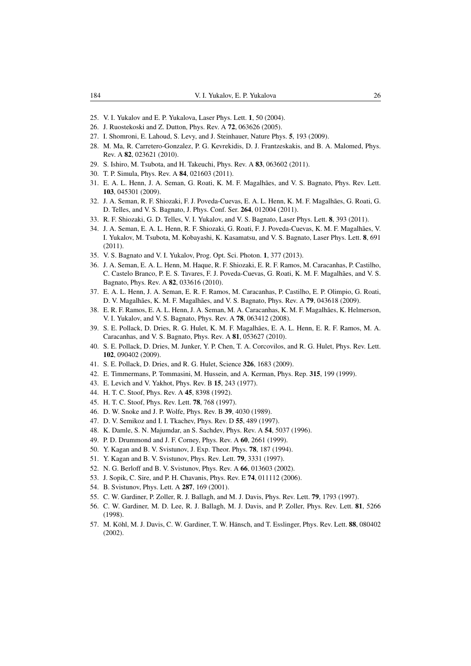- 25. V. I. Yukalov and E. P. Yukalova, Laser Phys. Lett. 1, 50 (2004).
- 26. J. Ruostekoski and Z. Dutton, Phys. Rev. A 72, 063626 (2005).
- 27. I. Shomroni, E. Lahoud, S. Levy, and J. Steinhauer, Nature Phys. 5, 193 (2009).
- 28. M. Ma, R. Carretero-Gonzalez, P. G. Kevrekidis, D. J. Frantzeskakis, and B. A. Malomed, Phys. Rev. A 82, 023621 (2010).
- 29. S. Ishiro, M. Tsubota, and H. Takeuchi, Phys. Rev. A 83, 063602 (2011).
- 30. T. P. Simula, Phys. Rev. A 84, 021603 (2011).
- 31. E. A. L. Henn, J. A. Seman, G. Roati, K. M. F. Magalhães, and V. S. Bagnato, Phys. Rev. Lett. 103, 045301 (2009).
- 32. J. A. Seman, R. F. Shiozaki, F. J. Poveda-Cuevas, E. A. L. Henn, K. M. F. Magalhaes, G. Roati, G. ˜ D. Telles, and V. S. Bagnato, J. Phys. Conf. Ser. 264, 012004 (2011).
- 33. R. F. Shiozaki, G. D. Telles, V. I. Yukalov, and V. S. Bagnato, Laser Phys. Lett. 8, 393 (2011).
- 34. J. A. Seman, E. A. L. Henn, R. F. Shiozaki, G. Roati, F. J. Poveda-Cuevas, K. M. F. Magalhaes, V. ˜ I. Yukalov, M. Tsubota, M. Kobayashi, K. Kasamatsu, and V. S. Bagnato, Laser Phys. Lett. 8, 691 (2011).
- 35. V. S. Bagnato and V. I. Yukalov, Prog. Opt. Sci. Photon. 1, 377 (2013).
- 36. J. A. Seman, E. A. L. Henn, M. Haque, R. F. Shiozaki, E. R. F. Ramos, M. Caracanhas, P. Castilho, C. Castelo Branco, P. E. S. Tavares, F. J. Poveda-Cuevas, G. Roati, K. M. F. Magalhães, and V. S. Bagnato, Phys. Rev. A 82, 033616 (2010).
- 37. E. A. L. Henn, J. A. Seman, E. R. F. Ramos, M. Caracanhas, P. Castilho, E. P. Olimpio, G. Roati, D. V. Magalhães, K. M. F. Magalhães, and V. S. Bagnato, Phys. Rev. A 79, 043618 (2009).
- 38. E. R. F. Ramos, E. A. L. Henn, J. A. Seman, M. A. Caracanhas, K. M. F. Magalhães, K. Helmerson, V. I. Yukalov, and V. S. Bagnato, Phys. Rev. A 78, 063412 (2008).
- 39. S. E. Pollack, D. Dries, R. G. Hulet, K. M. F. Magalhaes, E. A. L. Henn, E. R. F. Ramos, M. A. ˜ Caracanhas, and V. S. Bagnato, Phys. Rev. A 81, 053627 (2010).
- 40. S. E. Pollack, D. Dries, M. Junker, Y. P. Chen, T. A. Corcovilos, and R. G. Hulet, Phys. Rev. Lett. 102, 090402 (2009).
- 41. S. E. Pollack, D. Dries, and R. G. Hulet, Science 326, 1683 (2009).
- 42. E. Timmermans, P. Tommasini, M. Hussein, and A. Kerman, Phys. Rep. 315, 199 (1999).
- 43. E. Levich and V. Yakhot, Phys. Rev. B 15, 243 (1977).
- 44. H. T. C. Stoof, Phys. Rev. A 45, 8398 (1992).
- 45. H. T. C. Stoof, Phys. Rev. Lett. 78, 768 (1997).
- 46. D. W. Snoke and J. P. Wolfe, Phys. Rev. B 39, 4030 (1989).
- 47. D. V. Semikoz and I. I. Tkachev, Phys. Rev. D 55, 489 (1997).
- 48. K. Damle, S. N. Majumdar, an S. Sachdev, Phys. Rev. A 54, 5037 (1996).
- 49. P. D. Drummond and J. F. Corney, Phys. Rev. A 60, 2661 (1999).
- 50. Y. Kagan and B. V. Svistunov, J. Exp. Theor. Phys. 78, 187 (1994).
- 51. Y. Kagan and B. V. Svistunov, Phys. Rev. Lett. 79, 3331 (1997).
- 52. N. G. Berloff and B. V. Svistunov, Phys. Rev. A 66, 013603 (2002).
- 53. J. Sopik, C. Sire, and P. H. Chavanis, Phys. Rev. E 74, 011112 (2006).
- 54. B. Svistunov, Phys. Lett. A 287, 169 (2001).
- 55. C. W. Gardiner, P. Zoller, R. J. Ballagh, and M. J. Davis, Phys. Rev. Lett. 79, 1793 (1997).
- 56. C. W. Gardiner, M. D. Lee, R. J. Ballagh, M. J. Davis, and P. Zoller, Phys. Rev. Lett. 81, 5266 (1998).
- 57. M. Köhl, M. J. Davis, C. W. Gardiner, T. W. Hänsch, and T. Esslinger, Phys. Rev. Lett. 88, 080402 (2002).